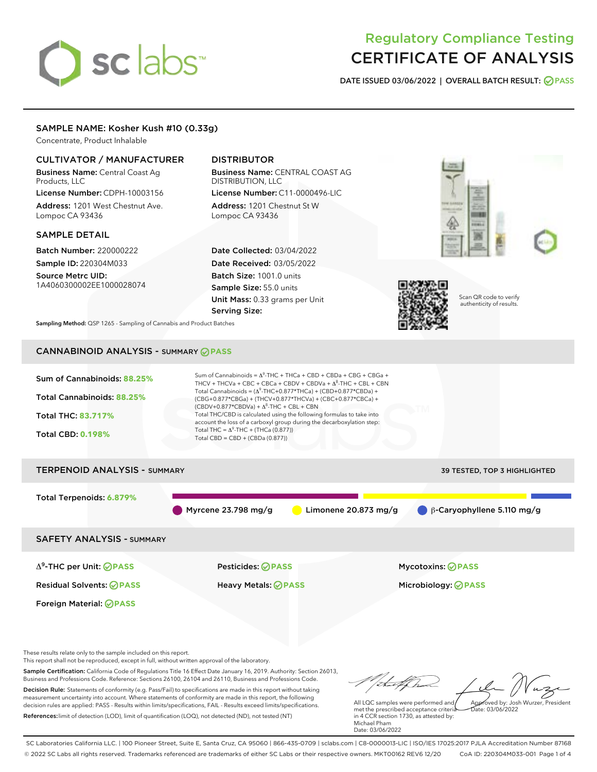# sclabs<sup>\*</sup>

## Regulatory Compliance Testing CERTIFICATE OF ANALYSIS

DATE ISSUED 03/06/2022 | OVERALL BATCH RESULT: @ PASS

#### SAMPLE NAME: Kosher Kush #10 (0.33g)

Concentrate, Product Inhalable

#### CULTIVATOR / MANUFACTURER

Business Name: Central Coast Ag Products, LLC License Number: CDPH-10003156

Address: 1201 West Chestnut Ave. Lompoc CA 93436

#### SAMPLE DETAIL

Batch Number: 220000222 Sample ID: 220304M033

Source Metrc UID: 1A4060300002EE1000028074

#### DISTRIBUTOR

Business Name: CENTRAL COAST AG DISTRIBUTION, LLC License Number: C11-0000496-LIC

Address: 1201 Chestnut St W Lompoc CA 93436

Date Collected: 03/04/2022 Date Received: 03/05/2022 Batch Size: 1001.0 units Sample Size: 55.0 units Unit Mass: 0.33 grams per Unit Serving Size:





Scan QR code to verify authenticity of results.

Sampling Method: QSP 1265 - Sampling of Cannabis and Product Batches

### CANNABINOID ANALYSIS - SUMMARY **PASS**



Total Terpenoids: **6.879%** Myrcene 23.798 mg/g **b** Limonene 20.873 mg/g **β-Caryophyllene 5.110 mg/g** SAFETY ANALYSIS - SUMMARY

Δ9-THC per Unit: **PASS** Pesticides: **PASS** Mycotoxins: **PASS**

Foreign Material: **PASS**

Residual Solvents: **PASS** Heavy Metals: **PASS** Microbiology: **PASS**

These results relate only to the sample included on this report.

This report shall not be reproduced, except in full, without written approval of the laboratory.

Sample Certification: California Code of Regulations Title 16 Effect Date January 16, 2019. Authority: Section 26013, Business and Professions Code. Reference: Sections 26100, 26104 and 26110, Business and Professions Code. Decision Rule: Statements of conformity (e.g. Pass/Fail) to specifications are made in this report without taking

measurement uncertainty into account. Where statements of conformity are made in this report, the following decision rules are applied: PASS - Results within limits/specifications, FAIL - Results exceed limits/specifications. References:limit of detection (LOD), limit of quantification (LOQ), not detected (ND), not tested (NT)

Approved by: Josh Wurzer, President

 $ate: 03/06/2022$ 

All LQC samples were performed and met the prescribed acceptance criteria in 4 CCR section 1730, as attested by: Michael Pham Date: 03/06/2022

SC Laboratories California LLC. | 100 Pioneer Street, Suite E, Santa Cruz, CA 95060 | 866-435-0709 | sclabs.com | C8-0000013-LIC | ISO/IES 17025:2017 PJLA Accreditation Number 87168 © 2022 SC Labs all rights reserved. Trademarks referenced are trademarks of either SC Labs or their respective owners. MKT00162 REV6 12/20 CoA ID: 220304M033-001 Page 1 of 4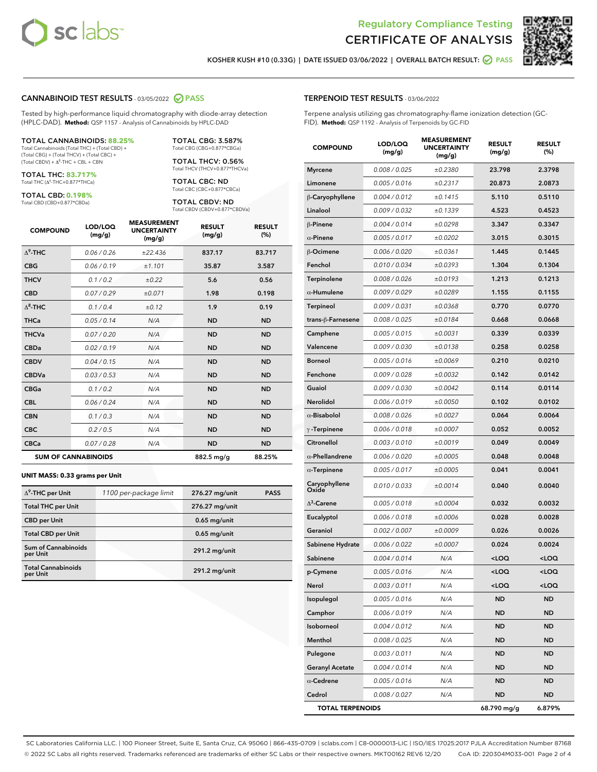



KOSHER KUSH #10 (0.33G) | DATE ISSUED 03/06/2022 | OVERALL BATCH RESULT: **@ PASS** 

#### CANNABINOID TEST RESULTS - 03/05/2022 2 PASS

Tested by high-performance liquid chromatography with diode-array detection (HPLC-DAD). **Method:** QSP 1157 - Analysis of Cannabinoids by HPLC-DAD

#### TOTAL CANNABINOIDS: **88.25%** Total Cannabinoids (Total THC) + (Total CBD) +

(Total CBG) + (Total THCV) + (Total CBC) +  $(Total$  CBDV) +  $\Delta$ <sup>8</sup>-THC + CBL + CBN

TOTAL THC: **83.717%** Total THC (Δ<sup>9</sup> -THC+0.877\*THCa)

TOTAL CBD: **0.198%**

Total CBD (CBD+0.877\*CBDa)

TOTAL CBG: 3.587% Total CBG (CBG+0.877\*CBGa)

TOTAL THCV: 0.56% Total THCV (THCV+0.877\*THCVa)

TOTAL CBC: ND Total CBC (CBC+0.877\*CBCa)

TOTAL CBDV: ND Total CBDV (CBDV+0.877\*CBDVa)

| <b>COMPOUND</b> | LOD/LOO<br>(mg/g)          | <b>MEASUREMENT</b><br><b>UNCERTAINTY</b><br>(mg/g) | <b>RESULT</b><br>(mg/g) | <b>RESULT</b><br>(%) |
|-----------------|----------------------------|----------------------------------------------------|-------------------------|----------------------|
| $\Delta^9$ -THC | 0.06/0.26                  | ±22.436                                            | 837.17                  | 83.717               |
| <b>CBG</b>      | 0.06/0.19                  | ±1.101                                             | 35.87                   | 3.587                |
| <b>THCV</b>     | 0.1/0.2                    | ±0.22                                              | 5.6                     | 0.56                 |
| <b>CBD</b>      | 0.07/0.29                  | ±0.071                                             | 1.98                    | 0.198                |
| $\Delta^8$ -THC | 0.1/0.4                    | ±0.12                                              | 1.9                     | 0.19                 |
| <b>THCa</b>     | 0.05/0.14                  | N/A                                                | <b>ND</b>               | <b>ND</b>            |
| <b>THCVa</b>    | 0.07/0.20                  | N/A                                                | <b>ND</b>               | <b>ND</b>            |
| <b>CBDa</b>     | 0.02/0.19                  | N/A                                                | <b>ND</b>               | <b>ND</b>            |
| <b>CBDV</b>     | 0.04/0.15                  | N/A                                                | <b>ND</b>               | <b>ND</b>            |
| <b>CBDVa</b>    | 0.03 / 0.53                | N/A                                                | <b>ND</b>               | <b>ND</b>            |
| <b>CBGa</b>     | 0.1/0.2                    | N/A                                                | <b>ND</b>               | <b>ND</b>            |
| <b>CBL</b>      | 0.06 / 0.24                | N/A                                                | <b>ND</b>               | <b>ND</b>            |
| <b>CBN</b>      | 0.1/0.3                    | N/A                                                | <b>ND</b>               | <b>ND</b>            |
| <b>CBC</b>      | 0.2 / 0.5                  | N/A                                                | <b>ND</b>               | <b>ND</b>            |
| <b>CBCa</b>     | 0.07 / 0.28                | N/A                                                | <b>ND</b>               | <b>ND</b>            |
|                 | <b>SUM OF CANNABINOIDS</b> |                                                    | 882.5 mg/g              | 88.25%               |

#### **UNIT MASS: 0.33 grams per Unit**

| $\Delta^9$ -THC per Unit               | 1100 per-package limit | 276.27 mg/unit | <b>PASS</b> |
|----------------------------------------|------------------------|----------------|-------------|
| <b>Total THC per Unit</b>              |                        | 276.27 mg/unit |             |
| <b>CBD</b> per Unit                    |                        | $0.65$ mg/unit |             |
| <b>Total CBD per Unit</b>              |                        | $0.65$ mg/unit |             |
| <b>Sum of Cannabinoids</b><br>per Unit |                        | 291.2 mg/unit  |             |
| <b>Total Cannabinoids</b><br>per Unit  |                        | 291.2 mg/unit  |             |

| <b>COMPOUND</b>         | LOD/LOQ<br>(mg/g) | <b>MEASUREMENT</b><br><b>UNCERTAINTY</b><br>(mg/g) | <b>RESULT</b><br>(mg/g)                         | <b>RESULT</b><br>(%) |
|-------------------------|-------------------|----------------------------------------------------|-------------------------------------------------|----------------------|
| <b>Myrcene</b>          | 0.008 / 0.025     | ±0.2380                                            | 23.798                                          | 2.3798               |
| Limonene                | 0.005 / 0.016     | ±0.2317                                            | 20.873                                          | 2.0873               |
| $\beta$ -Caryophyllene  | 0.004 / 0.012     | ±0.1415                                            | 5.110                                           | 0.5110               |
| Linalool                | 0.009 / 0.032     | ±0.1339                                            | 4.523                                           | 0.4523               |
| <b>β-Pinene</b>         | 0.004 / 0.014     | ±0.0298                                            | 3.347                                           | 0.3347               |
| $\alpha$ -Pinene        | 0.005 / 0.017     | ±0.0202                                            | 3.015                                           | 0.3015               |
| $\beta$ -Ocimene        | 0.006 / 0.020     | ±0.0361                                            | 1.445                                           | 0.1445               |
| Fenchol                 | 0.010 / 0.034     | ±0.0393                                            | 1.304                                           | 0.1304               |
| Terpinolene             | 0.008 / 0.026     | ±0.0193                                            | 1.213                                           | 0.1213               |
| $\alpha$ -Humulene      | 0.009 / 0.029     | ±0.0289                                            | 1.155                                           | 0.1155               |
| Terpineol               | 0.009 / 0.031     | ±0.0368                                            | 0.770                                           | 0.0770               |
| trans-ß-Farnesene       | 0.008 / 0.025     | ±0.0184                                            | 0.668                                           | 0.0668               |
| Camphene                | 0.005 / 0.015     | ±0.0031                                            | 0.339                                           | 0.0339               |
| Valencene               | 0.009 / 0.030     | ±0.0138                                            | 0.258                                           | 0.0258               |
| Borneol                 | 0.005 / 0.016     | ±0.0069                                            | 0.210                                           | 0.0210               |
| Fenchone                | 0.009 / 0.028     | ±0.0032                                            | 0.142                                           | 0.0142               |
| Guaiol                  | 0.009 / 0.030     | ±0.0042                                            | 0.114                                           | 0.0114               |
| Nerolidol               | 0.006 / 0.019     | ±0.0050                                            | 0.102                                           | 0.0102               |
| $\alpha$ -Bisabolol     | 0.008 / 0.026     | ±0.0027                                            | 0.064                                           | 0.0064               |
| $\gamma$ -Terpinene     | 0.006 / 0.018     | ±0.0007                                            | 0.052                                           | 0.0052               |
| Citronellol             | 0.003 / 0.010     | ±0.0019                                            | 0.049                                           | 0.0049               |
| $\alpha$ -Phellandrene  | 0.006 / 0.020     | ±0.0005                                            | 0.048                                           | 0.0048               |
| $\alpha$ -Terpinene     | 0.005 / 0.017     | ±0.0005                                            | 0.041                                           | 0.0041               |
| Caryophyllene<br>Oxide  | 0.010 / 0.033     | ±0.0014                                            | 0.040                                           | 0.0040               |
| $\Delta^3$ -Carene      | 0.005 / 0.018     | ±0.0004                                            | 0.032                                           | 0.0032               |
| Eucalyptol              | 0.006 / 0.018     | ±0.0006                                            | 0.028                                           | 0.0028               |
| Geraniol                | 0.002 / 0.007     | ±0.0009                                            | 0.026                                           | 0.0026               |
| Sabinene Hydrate        | 0.006 / 0.022     | ±0.0007                                            | 0.024                                           | 0.0024               |
| Sabinene                | 0.004 / 0.014     | N/A                                                | <loq< th=""><th><loq< th=""></loq<></th></loq<> | <loq< th=""></loq<>  |
| p-Cymene                | 0.005 / 0.016     | N/A                                                | $<$ LOO                                         | $\sim$ 0.0           |
| Nerol                   | 0.003 / 0.011     | N/A                                                | <loq< th=""><th><loq< th=""></loq<></th></loq<> | <loq< th=""></loq<>  |
| Isopulegol              | 0.005 / 0.016     | N/A                                                | ND                                              | ND                   |
| Camphor                 | 0.006 / 0.019     | N/A                                                | ND                                              | ND                   |
| Isoborneol              | 0.004 / 0.012     | N/A                                                | ND                                              | ND                   |
| Menthol                 | 0.008 / 0.025     | N/A                                                | ND                                              | ND                   |
| Pulegone                | 0.003 / 0.011     | N/A                                                | ND                                              | ND                   |
| <b>Geranyl Acetate</b>  | 0.004 / 0.014     | N/A                                                | ND                                              | ND                   |
| $\alpha$ -Cedrene       | 0.005 / 0.016     | N/A                                                | ND                                              | ND                   |
| Cedrol                  | 0.008 / 0.027     | N/A                                                | ND                                              | ND                   |
| <b>TOTAL TERPENOIDS</b> |                   |                                                    | 68.790 mg/g                                     | 6.879%               |

SC Laboratories California LLC. | 100 Pioneer Street, Suite E, Santa Cruz, CA 95060 | 866-435-0709 | sclabs.com | C8-0000013-LIC | ISO/IES 17025:2017 PJLA Accreditation Number 87168 © 2022 SC Labs all rights reserved. Trademarks referenced are trademarks of either SC Labs or their respective owners. MKT00162 REV6 12/20 CoA ID: 220304M033-001 Page 2 of 4

#### TERPENOID TEST RESULTS - 03/06/2022

Terpene analysis utilizing gas chromatography-flame ionization detection (GC-FID). **Method:** QSP 1192 - Analysis of Terpenoids by GC-FID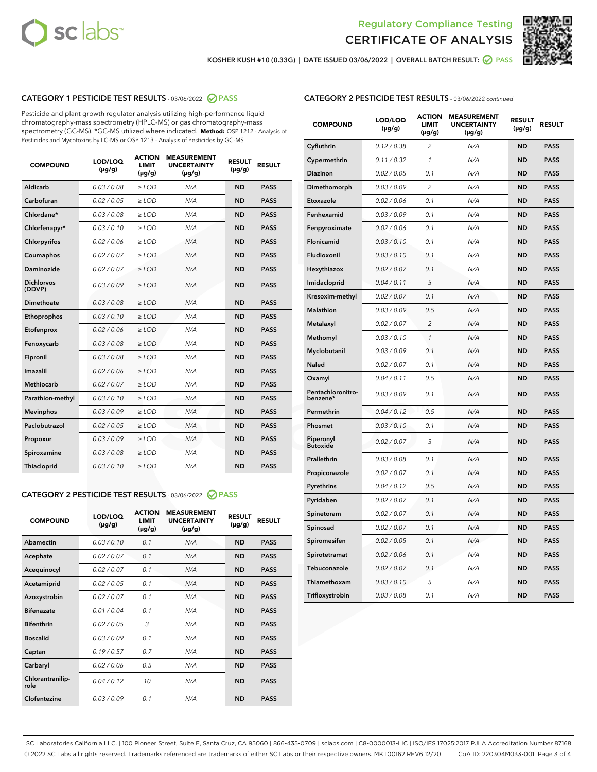



KOSHER KUSH #10 (0.33G) | DATE ISSUED 03/06/2022 | OVERALL BATCH RESULT: @ PASS

#### CATEGORY 1 PESTICIDE TEST RESULTS - 03/06/2022 2 PASS

Pesticide and plant growth regulator analysis utilizing high-performance liquid chromatography-mass spectrometry (HPLC-MS) or gas chromatography-mass spectrometry (GC-MS). \*GC-MS utilized where indicated. **Method:** QSP 1212 - Analysis of Pesticides and Mycotoxins by LC-MS or QSP 1213 - Analysis of Pesticides by GC-MS

| 0.03 / 0.08<br><b>ND</b><br>Aldicarb<br>$\ge$ LOD<br>N/A<br><b>PASS</b><br>Carbofuran<br><b>PASS</b><br>0.02 / 0.05<br>$>$ LOD<br>N/A<br><b>ND</b><br>Chlordane*<br>0.03 / 0.08<br>N/A<br><b>ND</b><br><b>PASS</b><br>$\ge$ LOD<br>Chlorfenapyr*<br>0.03/0.10<br><b>ND</b><br><b>PASS</b><br>$\ge$ LOD<br>N/A<br>Chlorpyrifos<br>0.02/0.06<br>$>$ LOD<br>N/A<br><b>ND</b><br><b>PASS</b><br>0.02 / 0.07<br>N/A<br><b>ND</b><br>Coumaphos<br>$\ge$ LOD<br><b>PASS</b><br>Daminozide<br>0.02 / 0.07<br>N/A<br><b>ND</b><br><b>PASS</b><br>$\ge$ LOD<br><b>Dichlorvos</b><br>0.03/0.09<br>N/A<br><b>ND</b><br>$\ge$ LOD<br><b>PASS</b><br>(DDVP)<br>Dimethoate<br>0.03/0.08<br>N/A<br><b>ND</b><br><b>PASS</b><br>$>$ LOD<br>Ethoprophos<br>0.03/0.10<br>$\ge$ LOD<br>N/A<br><b>ND</b><br><b>PASS</b><br>Etofenprox<br>0.02 / 0.06<br>N/A<br><b>ND</b><br><b>PASS</b><br>$>$ LOD<br>N/A<br>Fenoxycarb<br>0.03/0.08<br>$>$ LOD<br><b>ND</b><br><b>PASS</b><br>0.03 / 0.08<br>$\ge$ LOD<br>N/A<br><b>ND</b><br><b>PASS</b><br>Fipronil<br>Imazalil<br>0.02/0.06<br>$>$ LOD<br>N/A<br><b>ND</b><br><b>PASS</b><br><b>Methiocarb</b><br>0.02 / 0.07<br>N/A<br><b>ND</b><br><b>PASS</b><br>$\ge$ LOD<br>Parathion-methyl<br>0.03/0.10<br>N/A<br><b>ND</b><br><b>PASS</b><br>$\ge$ LOD<br>0.03/0.09<br>N/A<br><b>ND</b><br><b>PASS</b><br><b>Mevinphos</b><br>$>$ LOD<br>Paclobutrazol<br>0.02 / 0.05<br>N/A<br><b>ND</b><br><b>PASS</b><br>$\ge$ LOD<br>0.03/0.09<br>N/A<br><b>ND</b><br><b>PASS</b><br>$>$ LOD<br>Propoxur<br>0.03 / 0.08<br>$\ge$ LOD<br>N/A<br><b>ND</b><br><b>PASS</b><br>Spiroxamine<br>0.03/0.10<br>N/A<br><b>ND</b><br><b>PASS</b><br>Thiacloprid<br>$\ge$ LOD | <b>COMPOUND</b> | LOD/LOQ<br>$(\mu g/g)$ | <b>ACTION</b><br>LIMIT<br>$(\mu g/g)$ | <b>MEASUREMENT</b><br><b>UNCERTAINTY</b><br>$(\mu g/g)$ | <b>RESULT</b><br>$(\mu g/g)$ | <b>RESULT</b> |
|-------------------------------------------------------------------------------------------------------------------------------------------------------------------------------------------------------------------------------------------------------------------------------------------------------------------------------------------------------------------------------------------------------------------------------------------------------------------------------------------------------------------------------------------------------------------------------------------------------------------------------------------------------------------------------------------------------------------------------------------------------------------------------------------------------------------------------------------------------------------------------------------------------------------------------------------------------------------------------------------------------------------------------------------------------------------------------------------------------------------------------------------------------------------------------------------------------------------------------------------------------------------------------------------------------------------------------------------------------------------------------------------------------------------------------------------------------------------------------------------------------------------------------------------------------------------------------------------------------------------------------------------------------------------------------|-----------------|------------------------|---------------------------------------|---------------------------------------------------------|------------------------------|---------------|
|                                                                                                                                                                                                                                                                                                                                                                                                                                                                                                                                                                                                                                                                                                                                                                                                                                                                                                                                                                                                                                                                                                                                                                                                                                                                                                                                                                                                                                                                                                                                                                                                                                                                               |                 |                        |                                       |                                                         |                              |               |
|                                                                                                                                                                                                                                                                                                                                                                                                                                                                                                                                                                                                                                                                                                                                                                                                                                                                                                                                                                                                                                                                                                                                                                                                                                                                                                                                                                                                                                                                                                                                                                                                                                                                               |                 |                        |                                       |                                                         |                              |               |
|                                                                                                                                                                                                                                                                                                                                                                                                                                                                                                                                                                                                                                                                                                                                                                                                                                                                                                                                                                                                                                                                                                                                                                                                                                                                                                                                                                                                                                                                                                                                                                                                                                                                               |                 |                        |                                       |                                                         |                              |               |
|                                                                                                                                                                                                                                                                                                                                                                                                                                                                                                                                                                                                                                                                                                                                                                                                                                                                                                                                                                                                                                                                                                                                                                                                                                                                                                                                                                                                                                                                                                                                                                                                                                                                               |                 |                        |                                       |                                                         |                              |               |
|                                                                                                                                                                                                                                                                                                                                                                                                                                                                                                                                                                                                                                                                                                                                                                                                                                                                                                                                                                                                                                                                                                                                                                                                                                                                                                                                                                                                                                                                                                                                                                                                                                                                               |                 |                        |                                       |                                                         |                              |               |
|                                                                                                                                                                                                                                                                                                                                                                                                                                                                                                                                                                                                                                                                                                                                                                                                                                                                                                                                                                                                                                                                                                                                                                                                                                                                                                                                                                                                                                                                                                                                                                                                                                                                               |                 |                        |                                       |                                                         |                              |               |
|                                                                                                                                                                                                                                                                                                                                                                                                                                                                                                                                                                                                                                                                                                                                                                                                                                                                                                                                                                                                                                                                                                                                                                                                                                                                                                                                                                                                                                                                                                                                                                                                                                                                               |                 |                        |                                       |                                                         |                              |               |
|                                                                                                                                                                                                                                                                                                                                                                                                                                                                                                                                                                                                                                                                                                                                                                                                                                                                                                                                                                                                                                                                                                                                                                                                                                                                                                                                                                                                                                                                                                                                                                                                                                                                               |                 |                        |                                       |                                                         |                              |               |
|                                                                                                                                                                                                                                                                                                                                                                                                                                                                                                                                                                                                                                                                                                                                                                                                                                                                                                                                                                                                                                                                                                                                                                                                                                                                                                                                                                                                                                                                                                                                                                                                                                                                               |                 |                        |                                       |                                                         |                              |               |
|                                                                                                                                                                                                                                                                                                                                                                                                                                                                                                                                                                                                                                                                                                                                                                                                                                                                                                                                                                                                                                                                                                                                                                                                                                                                                                                                                                                                                                                                                                                                                                                                                                                                               |                 |                        |                                       |                                                         |                              |               |
|                                                                                                                                                                                                                                                                                                                                                                                                                                                                                                                                                                                                                                                                                                                                                                                                                                                                                                                                                                                                                                                                                                                                                                                                                                                                                                                                                                                                                                                                                                                                                                                                                                                                               |                 |                        |                                       |                                                         |                              |               |
|                                                                                                                                                                                                                                                                                                                                                                                                                                                                                                                                                                                                                                                                                                                                                                                                                                                                                                                                                                                                                                                                                                                                                                                                                                                                                                                                                                                                                                                                                                                                                                                                                                                                               |                 |                        |                                       |                                                         |                              |               |
|                                                                                                                                                                                                                                                                                                                                                                                                                                                                                                                                                                                                                                                                                                                                                                                                                                                                                                                                                                                                                                                                                                                                                                                                                                                                                                                                                                                                                                                                                                                                                                                                                                                                               |                 |                        |                                       |                                                         |                              |               |
|                                                                                                                                                                                                                                                                                                                                                                                                                                                                                                                                                                                                                                                                                                                                                                                                                                                                                                                                                                                                                                                                                                                                                                                                                                                                                                                                                                                                                                                                                                                                                                                                                                                                               |                 |                        |                                       |                                                         |                              |               |
|                                                                                                                                                                                                                                                                                                                                                                                                                                                                                                                                                                                                                                                                                                                                                                                                                                                                                                                                                                                                                                                                                                                                                                                                                                                                                                                                                                                                                                                                                                                                                                                                                                                                               |                 |                        |                                       |                                                         |                              |               |
|                                                                                                                                                                                                                                                                                                                                                                                                                                                                                                                                                                                                                                                                                                                                                                                                                                                                                                                                                                                                                                                                                                                                                                                                                                                                                                                                                                                                                                                                                                                                                                                                                                                                               |                 |                        |                                       |                                                         |                              |               |
|                                                                                                                                                                                                                                                                                                                                                                                                                                                                                                                                                                                                                                                                                                                                                                                                                                                                                                                                                                                                                                                                                                                                                                                                                                                                                                                                                                                                                                                                                                                                                                                                                                                                               |                 |                        |                                       |                                                         |                              |               |
|                                                                                                                                                                                                                                                                                                                                                                                                                                                                                                                                                                                                                                                                                                                                                                                                                                                                                                                                                                                                                                                                                                                                                                                                                                                                                                                                                                                                                                                                                                                                                                                                                                                                               |                 |                        |                                       |                                                         |                              |               |
|                                                                                                                                                                                                                                                                                                                                                                                                                                                                                                                                                                                                                                                                                                                                                                                                                                                                                                                                                                                                                                                                                                                                                                                                                                                                                                                                                                                                                                                                                                                                                                                                                                                                               |                 |                        |                                       |                                                         |                              |               |
|                                                                                                                                                                                                                                                                                                                                                                                                                                                                                                                                                                                                                                                                                                                                                                                                                                                                                                                                                                                                                                                                                                                                                                                                                                                                                                                                                                                                                                                                                                                                                                                                                                                                               |                 |                        |                                       |                                                         |                              |               |
|                                                                                                                                                                                                                                                                                                                                                                                                                                                                                                                                                                                                                                                                                                                                                                                                                                                                                                                                                                                                                                                                                                                                                                                                                                                                                                                                                                                                                                                                                                                                                                                                                                                                               |                 |                        |                                       |                                                         |                              |               |

#### CATEGORY 2 PESTICIDE TEST RESULTS - 03/06/2022 @ PASS

| <b>COMPOUND</b>          | LOD/LOO<br>$(\mu g/g)$ | <b>ACTION</b><br>LIMIT<br>$(\mu g/g)$ | <b>MEASUREMENT</b><br><b>UNCERTAINTY</b><br>$(\mu g/g)$ | <b>RESULT</b><br>$(\mu g/g)$ | <b>RESULT</b> |
|--------------------------|------------------------|---------------------------------------|---------------------------------------------------------|------------------------------|---------------|
| Abamectin                | 0.03/0.10              | 0.1                                   | N/A                                                     | <b>ND</b>                    | <b>PASS</b>   |
| Acephate                 | 0.02/0.07              | 0.1                                   | N/A                                                     | <b>ND</b>                    | <b>PASS</b>   |
| Acequinocyl              | 0.02/0.07              | 0.1                                   | N/A                                                     | <b>ND</b>                    | <b>PASS</b>   |
| Acetamiprid              | 0.02/0.05              | 0.1                                   | N/A                                                     | <b>ND</b>                    | <b>PASS</b>   |
| Azoxystrobin             | 0.02/0.07              | 0.1                                   | N/A                                                     | <b>ND</b>                    | <b>PASS</b>   |
| <b>Bifenazate</b>        | 0.01/0.04              | 0.1                                   | N/A                                                     | <b>ND</b>                    | <b>PASS</b>   |
| <b>Bifenthrin</b>        | 0.02 / 0.05            | 3                                     | N/A                                                     | <b>ND</b>                    | <b>PASS</b>   |
| <b>Boscalid</b>          | 0.03/0.09              | 0.1                                   | N/A                                                     | <b>ND</b>                    | <b>PASS</b>   |
| Captan                   | 0.19/0.57              | 0.7                                   | N/A                                                     | <b>ND</b>                    | <b>PASS</b>   |
| Carbaryl                 | 0.02/0.06              | 0.5                                   | N/A                                                     | <b>ND</b>                    | <b>PASS</b>   |
| Chlorantranilip-<br>role | 0.04/0.12              | 10                                    | N/A                                                     | <b>ND</b>                    | <b>PASS</b>   |
| Clofentezine             | 0.03/0.09              | 0.1                                   | N/A                                                     | <b>ND</b>                    | <b>PASS</b>   |

#### CATEGORY 2 PESTICIDE TEST RESULTS - 03/06/2022 continued

| <b>COMPOUND</b>               | LOD/LOQ<br>(µg/g) | <b>ACTION</b><br><b>LIMIT</b><br>(µg/g) | <b>MEASUREMENT</b><br><b>UNCERTAINTY</b><br>(µg/g) | <b>RESULT</b><br>(µg/g) | <b>RESULT</b> |
|-------------------------------|-------------------|-----------------------------------------|----------------------------------------------------|-------------------------|---------------|
| Cyfluthrin                    | 0.12 / 0.38       | $\overline{c}$                          | N/A                                                | <b>ND</b>               | <b>PASS</b>   |
| Cypermethrin                  | 0.11 / 0.32       | $\mathcal{I}$                           | N/A                                                | <b>ND</b>               | <b>PASS</b>   |
| <b>Diazinon</b>               | 0.02 / 0.05       | 0.1                                     | N/A                                                | <b>ND</b>               | <b>PASS</b>   |
| Dimethomorph                  | 0.03 / 0.09       | 2                                       | N/A                                                | <b>ND</b>               | <b>PASS</b>   |
| Etoxazole                     | 0.02 / 0.06       | 0.1                                     | N/A                                                | ND                      | <b>PASS</b>   |
| Fenhexamid                    | 0.03 / 0.09       | 0.1                                     | N/A                                                | <b>ND</b>               | <b>PASS</b>   |
| Fenpyroximate                 | 0.02 / 0.06       | 0.1                                     | N/A                                                | <b>ND</b>               | <b>PASS</b>   |
| Flonicamid                    | 0.03/0.10         | 0.1                                     | N/A                                                | <b>ND</b>               | <b>PASS</b>   |
| Fludioxonil                   | 0.03/0.10         | 0.1                                     | N/A                                                | <b>ND</b>               | <b>PASS</b>   |
| Hexythiazox                   | 0.02 / 0.07       | 0.1                                     | N/A                                                | <b>ND</b>               | <b>PASS</b>   |
| Imidacloprid                  | 0.04 / 0.11       | 5                                       | N/A                                                | <b>ND</b>               | <b>PASS</b>   |
| Kresoxim-methyl               | 0.02 / 0.07       | 0.1                                     | N/A                                                | <b>ND</b>               | <b>PASS</b>   |
| Malathion                     | 0.03 / 0.09       | 0.5                                     | N/A                                                | <b>ND</b>               | <b>PASS</b>   |
| Metalaxyl                     | 0.02 / 0.07       | $\overline{c}$                          | N/A                                                | <b>ND</b>               | <b>PASS</b>   |
| Methomyl                      | 0.03 / 0.10       | $\mathcal{I}$                           | N/A                                                | ND                      | <b>PASS</b>   |
| Myclobutanil                  | 0.03 / 0.09       | 0.1                                     | N/A                                                | <b>ND</b>               | <b>PASS</b>   |
| Naled                         | 0.02 / 0.07       | 0.1                                     | N/A                                                | <b>ND</b>               | <b>PASS</b>   |
| Oxamyl                        | 0.04 / 0.11       | 0.5                                     | N/A                                                | <b>ND</b>               | <b>PASS</b>   |
| Pentachloronitro-<br>benzene* | 0.03 / 0.09       | 0.1                                     | N/A                                                | <b>ND</b>               | <b>PASS</b>   |
| Permethrin                    | 0.04 / 0.12       | 0.5                                     | N/A                                                | <b>ND</b>               | <b>PASS</b>   |
| Phosmet                       | 0.03 / 0.10       | 0.1                                     | N/A                                                | ND                      | <b>PASS</b>   |
| Piperonyl<br><b>Butoxide</b>  | 0.02 / 0.07       | 3                                       | N/A                                                | <b>ND</b>               | <b>PASS</b>   |
| Prallethrin                   | 0.03 / 0.08       | 0.1                                     | N/A                                                | <b>ND</b>               | <b>PASS</b>   |
| Propiconazole                 | 0.02 / 0.07       | 0.1                                     | N/A                                                | <b>ND</b>               | <b>PASS</b>   |
| Pyrethrins                    | 0.04 / 0.12       | 0.5                                     | N/A                                                | <b>ND</b>               | <b>PASS</b>   |
| Pyridaben                     | 0.02 / 0.07       | 0.1                                     | N/A                                                | <b>ND</b>               | <b>PASS</b>   |
| Spinetoram                    | 0.02 / 0.07       | 0.1                                     | N/A                                                | <b>ND</b>               | <b>PASS</b>   |
| Spinosad                      | 0.02 / 0.07       | 0.1                                     | N/A                                                | <b>ND</b>               | <b>PASS</b>   |
| Spiromesifen                  | 0.02 / 0.05       | 0.1                                     | N/A                                                | <b>ND</b>               | <b>PASS</b>   |
| Spirotetramat                 | 0.02 / 0.06       | 0.1                                     | N/A                                                | <b>ND</b>               | <b>PASS</b>   |
| Tebuconazole                  | 0.02 / 0.07       | 0.1                                     | N/A                                                | <b>ND</b>               | <b>PASS</b>   |
| Thiamethoxam                  | 0.03 / 0.10       | 5                                       | N/A                                                | <b>ND</b>               | <b>PASS</b>   |
| Trifloxystrobin               | 0.03 / 0.08       | 0.1                                     | N/A                                                | <b>ND</b>               | <b>PASS</b>   |

SC Laboratories California LLC. | 100 Pioneer Street, Suite E, Santa Cruz, CA 95060 | 866-435-0709 | sclabs.com | C8-0000013-LIC | ISO/IES 17025:2017 PJLA Accreditation Number 87168 © 2022 SC Labs all rights reserved. Trademarks referenced are trademarks of either SC Labs or their respective owners. MKT00162 REV6 12/20 CoA ID: 220304M033-001 Page 3 of 4